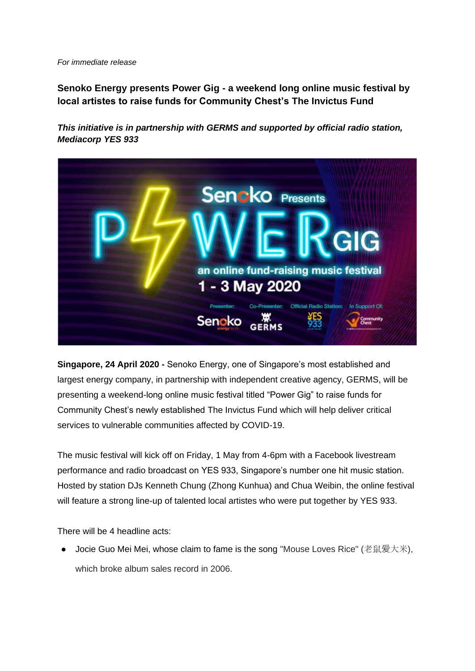*For immediate release*

**Senoko Energy presents Power Gig - a weekend long online music festival by local artistes to raise funds for Community Chest's The Invictus Fund**

*This initiative is in partnership with GERMS and supported by official radio station, Mediacorp YES 933*



**Singapore, 24 April 2020 -** Senoko Energy, one of Singapore's most established and largest energy company, in partnership with independent creative agency, GERMS, will be presenting a weekend-long online music festival titled "Power Gig" to raise funds for Community Chest's newly established The Invictus Fund which will help deliver critical services to vulnerable communities affected by COVID-19.

The music festival will kick off on Friday, 1 May from 4-6pm with a Facebook livestream performance and radio broadcast on YES 933, Singapore's number one hit music station. Hosted by station DJs Kenneth Chung (Zhong Kunhua) and Chua Weibin, the online festival will feature a strong line-up of talented local artistes who were put together by YES 933.

There will be 4 headline acts:

● Jocie Guo Mei Mei, whose claim to fame is the song "Mouse Loves Rice" (老鼠爱大米), which broke album sales record in 2006.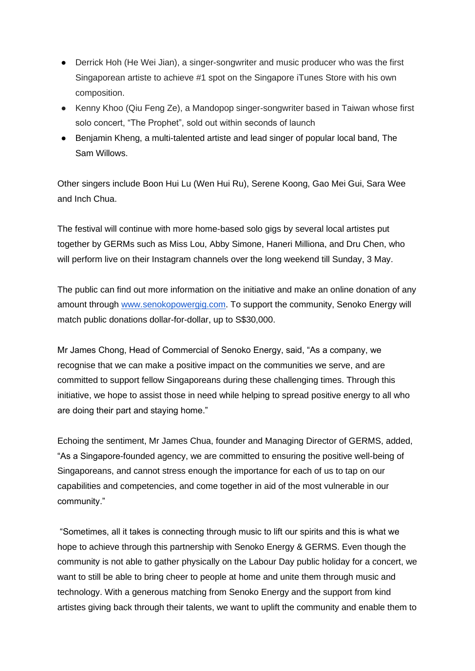- Derrick Hoh (He Wei Jian), a singer-songwriter and music producer who was the first Singaporean artiste to achieve #1 spot on the Singapore iTunes Store with his own composition.
- Kenny Khoo (Qiu Feng Ze), a Mandopop singer-songwriter based in Taiwan whose first solo concert, "The Prophet", sold out within seconds of launch
- Benjamin Kheng, a multi-talented artiste and lead singer of popular local band, The Sam Willows.

Other singers include Boon Hui Lu (Wen Hui Ru), Serene Koong, Gao Mei Gui, Sara Wee and Inch Chua.

The festival will continue with more home-based solo gigs by several local artistes put together by GERMs such as Miss Lou, Abby Simone, Haneri Milliona, and Dru Chen, who will perform live on their Instagram channels over the long weekend till Sunday, 3 May.

The public can find out more information on the initiative and make an online donation of any amount through [www.senokopowergig.com.](http://www.senokopowergig.com/) To support the community, Senoko Energy will match public donations dollar-for-dollar, up to S\$30,000.

Mr James Chong, Head of Commercial of Senoko Energy, said, "As a company, we recognise that we can make a positive impact on the communities we serve, and are committed to support fellow Singaporeans during these challenging times. Through this initiative, we hope to assist those in need while helping to spread positive energy to all who are doing their part and staying home."

Echoing the sentiment, Mr James Chua, founder and Managing Director of GERMS, added, "As a Singapore-founded agency, we are committed to ensuring the positive well-being of Singaporeans, and cannot stress enough the importance for each of us to tap on our capabilities and competencies, and come together in aid of the most vulnerable in our community."

"Sometimes, all it takes is connecting through music to lift our spirits and this is what we hope to achieve through this partnership with Senoko Energy & GERMS. Even though the community is not able to gather physically on the Labour Day public holiday for a concert, we want to still be able to bring cheer to people at home and unite them through music and technology. With a generous matching from Senoko Energy and the support from kind artistes giving back through their talents, we want to uplift the community and enable them to